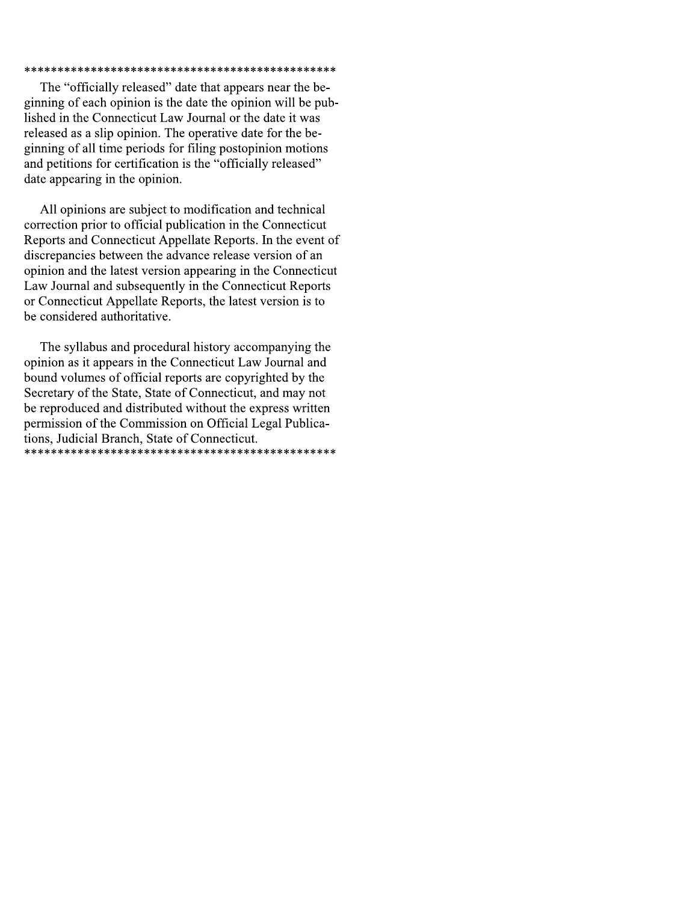### 

The "officially released" date that appears near the beginning of each opinion is the date the opinion will be published in the Connecticut Law Journal or the date it was released as a slip opinion. The operative date for the beginning of all time periods for filing postopinion motions and petitions for certification is the "officially released" date appearing in the opinion.

All opinions are subject to modification and technical correction prior to official publication in the Connecticut Reports and Connecticut Appellate Reports. In the event of discrepancies between the advance release version of an opinion and the latest version appearing in the Connecticut Law Journal and subsequently in the Connecticut Reports or Connecticut Appellate Reports, the latest version is to be considered authoritative.

The syllabus and procedural history accompanying the opinion as it appears in the Connecticut Law Journal and bound volumes of official reports are copyrighted by the Secretary of the State, State of Connecticut, and may not be reproduced and distributed without the express written permission of the Commission on Official Legal Publications, Judicial Branch, State of Connecticut.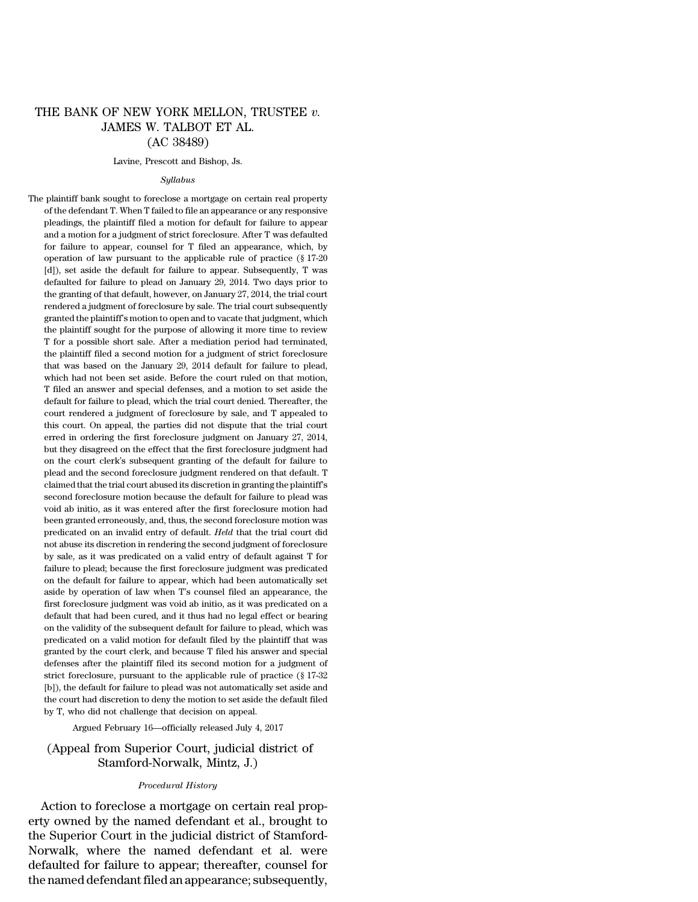# THE BANK OF NEW YORK MELLON, TRUSTEE *v.* JAMES W. TALBOT ET AL. (AC 38489)

#### Lavine, Prescott and Bishop, Js.

#### *Syllabus*

The plaintiff bank sought to foreclose a mortgage on certain real property of the defendant T. When T failed to file an appearance or any responsive pleadings, the plaintiff filed a motion for default for failure to appear and a motion for a judgment of strict foreclosure. After T was defaulted for failure to appear, counsel for T filed an appearance, which, by operation of law pursuant to the applicable rule of practice (§ 17-20 [d]), set aside the default for failure to appear. Subsequently, T was defaulted for failure to plead on January 29, 2014. Two days prior to the granting of that default, however, on January 27, 2014, the trial court rendered a judgment of foreclosure by sale. The trial court subsequently granted the plaintiff's motion to open and to vacate that judgment, which the plaintiff sought for the purpose of allowing it more time to review T for a possible short sale. After a mediation period had terminated, the plaintiff filed a second motion for a judgment of strict foreclosure that was based on the January 29, 2014 default for failure to plead, which had not been set aside. Before the court ruled on that motion, T filed an answer and special defenses, and a motion to set aside the default for failure to plead, which the trial court denied. Thereafter, the court rendered a judgment of foreclosure by sale, and T appealed to this court. On appeal, the parties did not dispute that the trial court erred in ordering the first foreclosure judgment on January 27, 2014, but they disagreed on the effect that the first foreclosure judgment had on the court clerk's subsequent granting of the default for failure to plead and the second foreclosure judgment rendered on that default. T claimed that the trial court abused its discretion in granting the plaintiff's second foreclosure motion because the default for failure to plead was void ab initio, as it was entered after the first foreclosure motion had been granted erroneously, and, thus, the second foreclosure motion was predicated on an invalid entry of default. *Held* that the trial court did not abuse its discretion in rendering the second judgment of foreclosure by sale, as it was predicated on a valid entry of default against T for failure to plead; because the first foreclosure judgment was predicated on the default for failure to appear, which had been automatically set aside by operation of law when T's counsel filed an appearance, the first foreclosure judgment was void ab initio, as it was predicated on a default that had been cured, and it thus had no legal effect or bearing on the validity of the subsequent default for failure to plead, which was predicated on a valid motion for default filed by the plaintiff that was granted by the court clerk, and because T filed his answer and special defenses after the plaintiff filed its second motion for a judgment of strict foreclosure, pursuant to the applicable rule of practice (§ 17-32 [b]), the default for failure to plead was not automatically set aside and the court had discretion to deny the motion to set aside the default filed by T, who did not challenge that decision on appeal.

Argued February 16—officially released July 4, 2017

# (Appeal from Superior Court, judicial district of Stamford-Norwalk, Mintz, J.)

### *Procedural History*

Action to foreclose a mortgage on certain real property owned by the named defendant et al., brought to the Superior Court in the judicial district of Stamford-Norwalk, where the named defendant et al. were defaulted for failure to appear; thereafter, counsel for the named defendant filed an appearance; subsequently,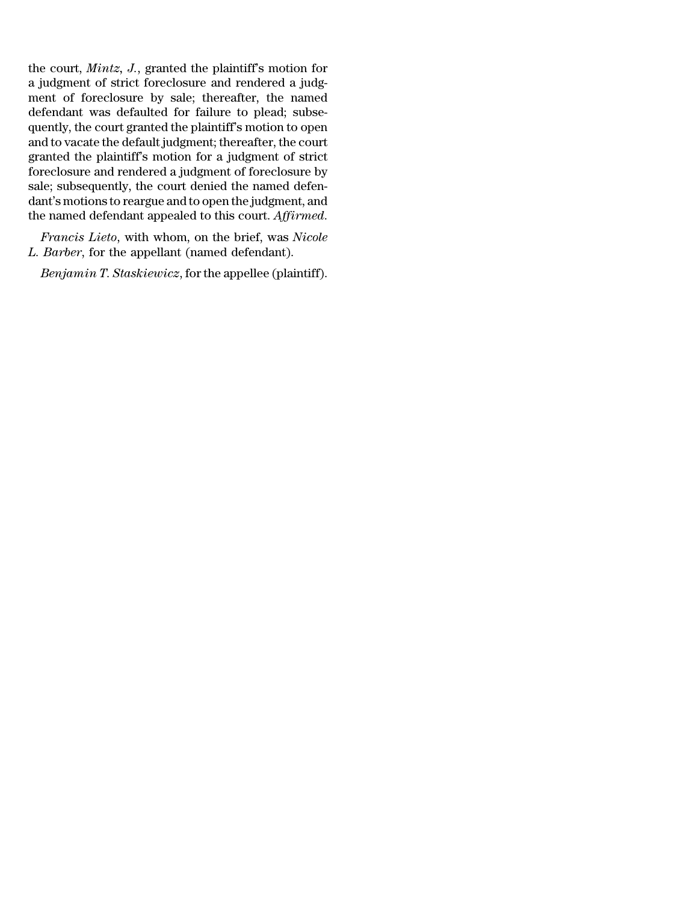the court, *Mintz, J.*, granted the plaintiff's motion for a judgment of strict foreclosure and rendered a judgment of foreclosure by sale; thereafter, the named defendant was defaulted for failure to plead; subsequently, the court granted the plaintiff's motion to open and to vacate the default judgment; thereafter, the court granted the plaintiff's motion for a judgment of strict foreclosure and rendered a judgment of foreclosure by sale; subsequently, the court denied the named defendant's motions to reargue and to open the judgment, and the named defendant appealed to this court. *Affirmed*.

*Francis Lieto*, with whom, on the brief, was *Nicole L. Barber*, for the appellant (named defendant).

*Benjamin T. Staskiewicz*, for the appellee (plaintiff).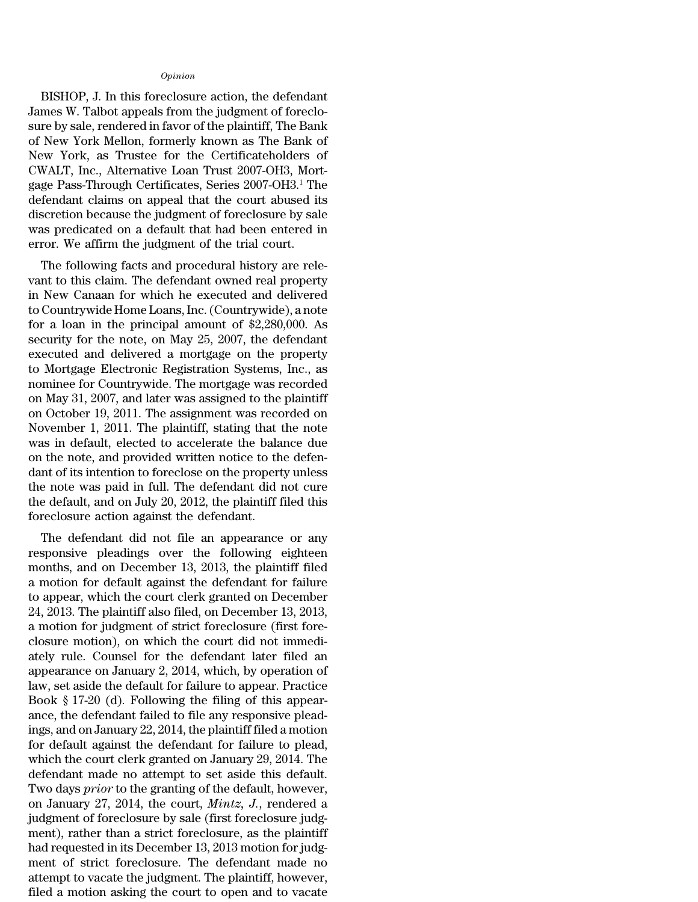#### *Opinion*

BISHOP, J. In this foreclosure action, the defendant James W. Talbot appeals from the judgment of foreclosure by sale, rendered in favor of the plaintiff, The Bank of New York Mellon, formerly known as The Bank of New York, as Trustee for the Certificateholders of CWALT, Inc., Alternative Loan Trust 2007-OH3, Mortgage Pass-Through Certificates, Series 2007-OH3.<sup>1</sup> The defendant claims on appeal that the court abused its discretion because the judgment of foreclosure by sale was predicated on a default that had been entered in error. We affirm the judgment of the trial court.

The following facts and procedural history are relevant to this claim. The defendant owned real property in New Canaan for which he executed and delivered to Countrywide Home Loans, Inc. (Countrywide), a note for a loan in the principal amount of \$2,280,000. As security for the note, on May 25, 2007, the defendant executed and delivered a mortgage on the property to Mortgage Electronic Registration Systems, Inc., as nominee for Countrywide. The mortgage was recorded on May 31, 2007, and later was assigned to the plaintiff on October 19, 2011. The assignment was recorded on November 1, 2011. The plaintiff, stating that the note was in default, elected to accelerate the balance due on the note, and provided written notice to the defendant of its intention to foreclose on the property unless the note was paid in full. The defendant did not cure the default, and on July 20, 2012, the plaintiff filed this foreclosure action against the defendant.

The defendant did not file an appearance or any responsive pleadings over the following eighteen months, and on December 13, 2013, the plaintiff filed a motion for default against the defendant for failure to appear, which the court clerk granted on December 24, 2013. The plaintiff also filed, on December 13, 2013, a motion for judgment of strict foreclosure (first foreclosure motion), on which the court did not immediately rule. Counsel for the defendant later filed an appearance on January 2, 2014, which, by operation of law, set aside the default for failure to appear. Practice Book § 17-20 (d). Following the filing of this appearance, the defendant failed to file any responsive pleadings, and on January 22, 2014, the plaintiff filed a motion for default against the defendant for failure to plead, which the court clerk granted on January 29, 2014. The defendant made no attempt to set aside this default. Two days *prior* to the granting of the default, however, on January 27, 2014, the court, *Mintz, J.*, rendered a judgment of foreclosure by sale (first foreclosure judgment), rather than a strict foreclosure, as the plaintiff had requested in its December 13, 2013 motion for judgment of strict foreclosure. The defendant made no attempt to vacate the judgment. The plaintiff, however, filed a motion asking the court to open and to vacate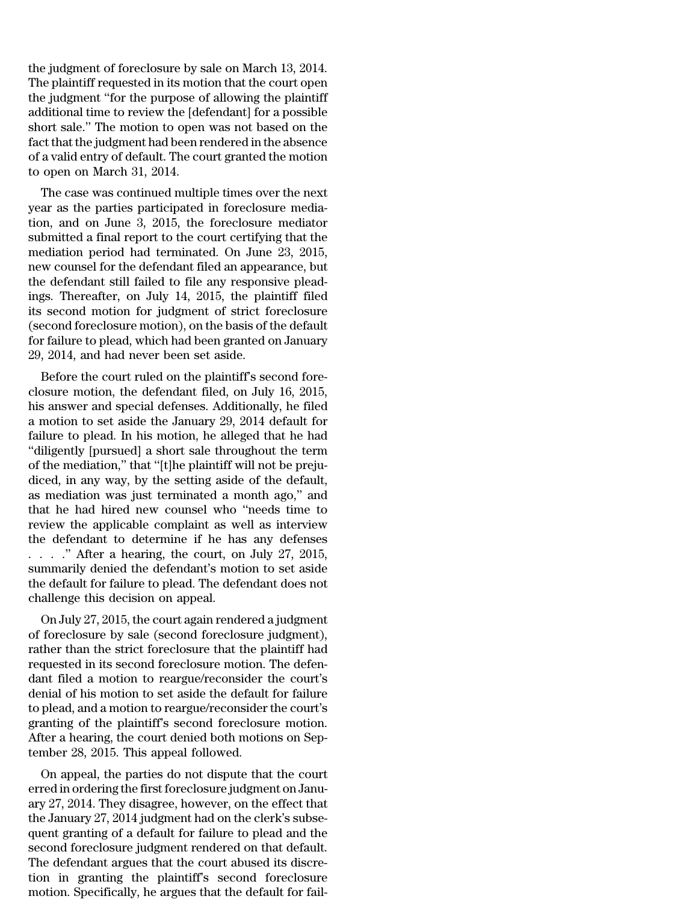the judgment of foreclosure by sale on March 13, 2014. The plaintiff requested in its motion that the court open the judgment ''for the purpose of allowing the plaintiff additional time to review the [defendant] for a possible short sale.'' The motion to open was not based on the fact that the judgment had been rendered in the absence of a valid entry of default. The court granted the motion to open on March 31, 2014.

The case was continued multiple times over the next year as the parties participated in foreclosure mediation, and on June 3, 2015, the foreclosure mediator submitted a final report to the court certifying that the mediation period had terminated. On June 23, 2015, new counsel for the defendant filed an appearance, but the defendant still failed to file any responsive pleadings. Thereafter, on July 14, 2015, the plaintiff filed its second motion for judgment of strict foreclosure (second foreclosure motion), on the basis of the default for failure to plead, which had been granted on January 29, 2014, and had never been set aside.

Before the court ruled on the plaintiff's second foreclosure motion, the defendant filed, on July 16, 2015, his answer and special defenses. Additionally, he filed a motion to set aside the January 29, 2014 default for failure to plead. In his motion, he alleged that he had ''diligently [pursued] a short sale throughout the term of the mediation,'' that ''[t]he plaintiff will not be prejudiced, in any way, by the setting aside of the default, as mediation was just terminated a month ago,'' and that he had hired new counsel who ''needs time to review the applicable complaint as well as interview the defendant to determine if he has any defenses . . . .'' After a hearing, the court, on July 27, 2015, summarily denied the defendant's motion to set aside the default for failure to plead. The defendant does not challenge this decision on appeal.

On July 27, 2015, the court again rendered a judgment of foreclosure by sale (second foreclosure judgment), rather than the strict foreclosure that the plaintiff had requested in its second foreclosure motion. The defendant filed a motion to reargue/reconsider the court's denial of his motion to set aside the default for failure to plead, and a motion to reargue/reconsider the court's granting of the plaintiff's second foreclosure motion. After a hearing, the court denied both motions on September 28, 2015. This appeal followed.

On appeal, the parties do not dispute that the court erred in ordering the first foreclosure judgment on January 27, 2014. They disagree, however, on the effect that the January 27, 2014 judgment had on the clerk's subsequent granting of a default for failure to plead and the second foreclosure judgment rendered on that default. The defendant argues that the court abused its discretion in granting the plaintiff's second foreclosure motion. Specifically, he argues that the default for fail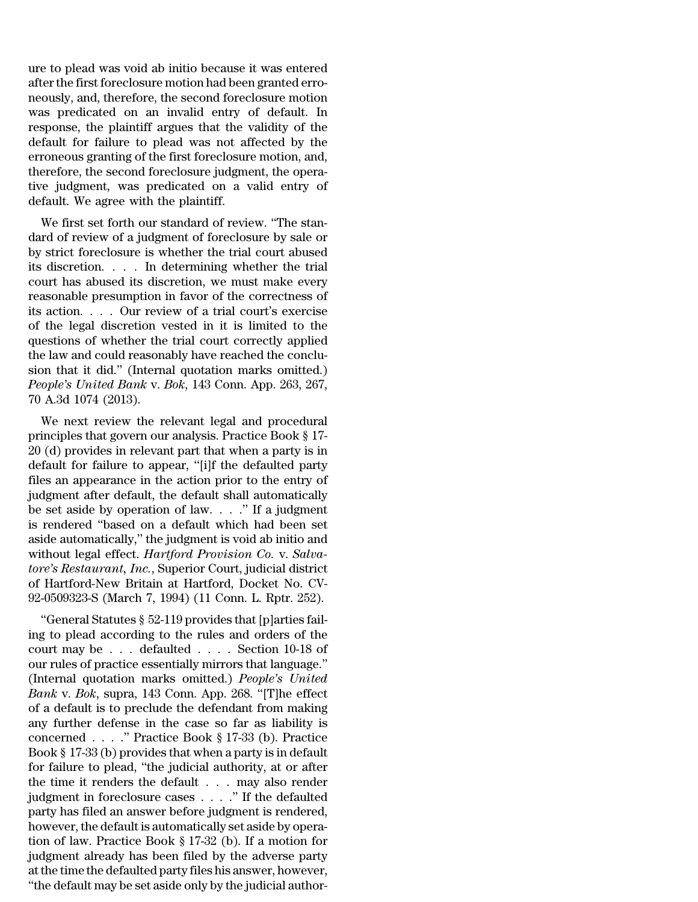ure to plead was void ab initio because it was entered after the first foreclosure motion had been granted erroneously, and, therefore, the second foreclosure motion was predicated on an invalid entry of default. In response, the plaintiff argues that the validity of the default for failure to plead was not affected by the erroneous granting of the first foreclosure motion, and, therefore, the second foreclosure judgment, the operative judgment, was predicated on a valid entry of default. We agree with the plaintiff.

We first set forth our standard of review. ''The standard of review of a judgment of foreclosure by sale or by strict foreclosure is whether the trial court abused its discretion. . . . In determining whether the trial court has abused its discretion, we must make every reasonable presumption in favor of the correctness of its action. . . . Our review of a trial court's exercise of the legal discretion vested in it is limited to the questions of whether the trial court correctly applied the law and could reasonably have reached the conclusion that it did.'' (Internal quotation marks omitted.) *People's United Bank* v. *Bok*, 143 Conn. App. 263, 267, 70 A.3d 1074 (2013).

We next review the relevant legal and procedural principles that govern our analysis. Practice Book § 17- 20 (d) provides in relevant part that when a party is in default for failure to appear, ''[i]f the defaulted party files an appearance in the action prior to the entry of judgment after default, the default shall automatically be set aside by operation of law. . . .'' If a judgment is rendered ''based on a default which had been set aside automatically,'' the judgment is void ab initio and without legal effect. *Hartford Provision Co.* v. *Salvatore's Restaurant, Inc.*, Superior Court, judicial district of Hartford-New Britain at Hartford, Docket No. CV-92-0509323-S (March 7, 1994) (11 Conn. L. Rptr. 252).

''General Statutes § 52-119 provides that [p]arties failing to plead according to the rules and orders of the court may be . . . defaulted . . . . Section 10-18 of our rules of practice essentially mirrors that language.'' (Internal quotation marks omitted.) *People's United Bank* v. *Bok*, supra, 143 Conn. App. 268. ''[T]he effect of a default is to preclude the defendant from making any further defense in the case so far as liability is concerned . . . .'' Practice Book § 17-33 (b). Practice Book § 17-33 (b) provides that when a party is in default for failure to plead, ''the judicial authority, at or after the time it renders the default . . . may also render judgment in foreclosure cases . . . .'' If the defaulted party has filed an answer before judgment is rendered, however, the default is automatically set aside by operation of law. Practice Book § 17-32 (b). If a motion for judgment already has been filed by the adverse party atthe time the defaulted party files his answer, however, ''the default may be set aside only by the judicial author-